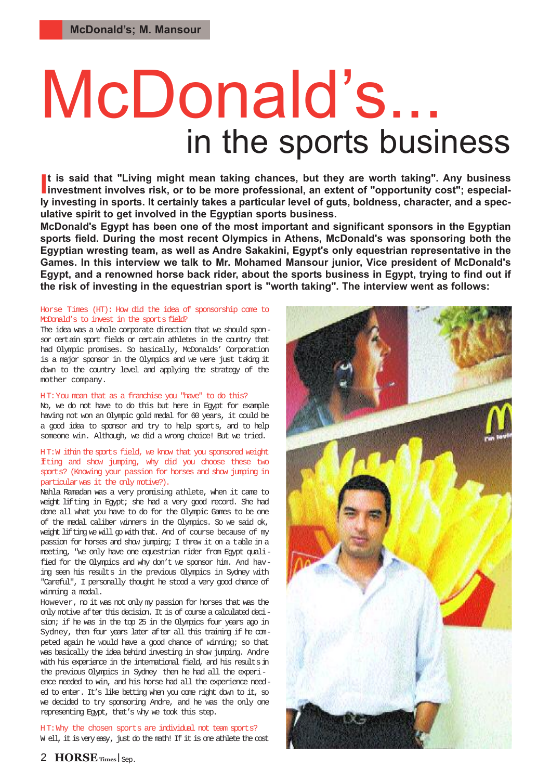# McDonald's... in the sports business

It is said that "Living might mean taking chances, but they are worth taking". Any business<br>investment involves risk, or to be more professional, an extent of "opportunity cost"; especial**t is said that "Living might mean taking chances, but they are worth taking". Any business ly investing in sports. It certainly takes a particular level of guts, boldness, character, and a speculative spirit to get involved in the Egyptian sports business.**

**McDonald's Egypt has been one of the most important and significant sponsors in the Egyptian sports field. During the most recent Olympics in Athens, McDonald's was sponsoring both the Egyptian wresting team, as well as Andre Sakakini, Egypt's only equestrian representative in the Games. In this interview we talk to Mr. Mohamed Mansour junior, Vice president of McDonald's Egypt, and a renowned horse back rider, about the sports business in Egypt, trying to find out if the risk of investing in the equestrian sport is "worth taking". The interview went as follows:**

#### Horse Times (HT): How did the idea of sponsorship come to McDonald's to invest in the sports field?

The idea was a whole corporate direction that we should sponsor certain sport fields or certain athletes in the country that had Olympic promises. So basically, McDonalds' Corporation is a major sponsor in the Olympics and we were just taking it down to the country level and applying the strategy of the mother company.

#### HT: You mean that as a franchise you "have" to do this?

No, we do not have to do this but here in Egypt for example having not won an Olympic gold medal for 60 years, it could be a good idea to sponsor and try to help sports, and to help someone win. Although, we did a wrong choice! But we tried.

#### H T:W ithin the sports field, we know that you sponsored weight Iting and show jumping, why did you choose these two sports? (Knowing your passion for horses and show jumping in particular was it the only motive?).

Nahla Ramadan was a very promising athlete, when it came to weight lifting in Egypt; she had a very good record. She had done all what you have to do for the Olympic Games to be one of the medal caliber winners in the Olympics. So we said ok, weight lifting we will go with that. And of course because of my passion for horses and show jumping; I threw it on a table in a meeting, "we only have one equestrian rider from Egypt qualified for the Olympics and why don't we sponsor him. And having seen his results in the previous Olympics in Sydney with "Careful", I personally thought he stood a very good chance of winning a medal.

However, no it was not only my passion for horses that was the only motive after this decision. It is of course a calculated decision; if he was in the top 25 in the Olympics four years ago in Sydney, then four years later after all this training if he competed again he would have a good chance of winning; so that was basically the idea behind investing in show jumping. Andre with his experience in the international field, and his results in the previous Olympics in Sydney then he had all the experience needed to win, and his horse had all the experience needed to enter. It's like betting when you come right down to it, so we decided to try sponsoring Andre, and he was the only one representing Egypt, that's why we took this step.

H T: Why the chosen sports are individual not team sports? W ell, it is very easy, just do the math! If it is one athlete the cost

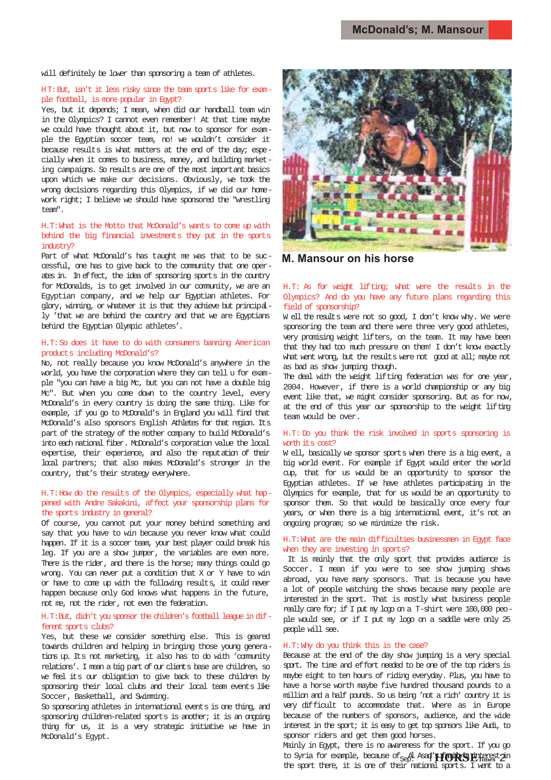will definitely be lower than sponsoring a team of athletes.

#### HT: But, isn't it less risky since the team sports like for example football, is more popular in Egypt?

Yes, but it depends; I mean, when did our handball team win in the Olympics? I cannot even remember! At that time maybe we could have thought about it, but now to sponsor for example the Egyptian soccer team, no! we wouldn't consider it because results is what matters at the end of the day; especially when it comes to business, money, and building marketing campaigns. So results are one of the most important basics upon which we make our decisions. Obviously, we took the wrong decisions regarding this Olympics, if we did our homework right; I believe we should have sponsored the "wrestling team".

#### H.T:What is the Motto that McDonald's wants to come up with behind the big financial investments they put in the sports industry?

Part of what McDonald's has taught me was that to be successful, one has to give back to the community that one operates in. In effect, the idea of sponsoring sports in the country for McDonalds, is to get involved in our community, we are an Egyptian company, and we help our Egyptian athletes. For glory, winning, or whatever it is that they achieve but principally 'that we are behind the country and that we are Egyptians behind the Egyptian Olympic athletes'.

#### H.T: So does it have to do with consumers banning American products including McDonald's?

No, not really because you know McDonald's anywhere in the world, you have the corporation where they can tell u for example "you can have a big Mc, but you can not have a double big Mc". But when you come down to the country level, every McDonald's in every country is doing the same thing. Like for example, if you go to McDonald's in England you will find that McDonald's also sponsors English Athletes for that region. Its part of the strategy of the mother company to build McDonald's into each national fiber. McDonald's corporation value the local expertise, their experience, and also the reputation of their local partners; that also makes McDonald's stronger in the country, that's their strategy everywhere.

#### H.T: How do the results of the Olympics, especially what happened with Andre Sakakini, affect your sponsorship plans for the sports industry in general?

Of course, you cannot put your money behind something and say that you have to win because you never know what could happen. If it is a soccer team, your best player could break his leg. If you are a show jumper, the variables are even more. There is the rider, and there is the horse; many things could go wrong. You can never put a condition that X or Y have to win or have to come up with the following results, it could never happen because only God knows what happens in the future, not me, not the rider, not even the federation.

#### H.T: But, didn't you sponsor the children's football league in different sports clubs?

Yes, but these we consider something else. This is geared towards children and helping in bringing those young generations up. Its not marketing, it also has to do with 'community relations'. I mean a big part of our clients base are children, so we feel its our obligation to give back to these children by sponsoring their local clubs and their local team events like Soccer, Basketball, and Swimming.

So sponsoring athletes in international events is one thing, and sponsoring children-related sports is another; it is an ongoing thing for us, it is a very strategic initiative we have in McDonald's Egypt.



**M. Mansour on his horse**

#### H.T: As for weight lifting; what were the results in the Olympics? And do you have any future plans regarding this field of sponsorship?

W ell the results were not so good, I don't know why. We were sponsoring the team and there were three very good athletes, very promising weight lifters, on the team. It may have been that they had too much pressure on them! I don't know exactly what went wrong, but the results were not good at all; maybe not as bad as show jumping though.

The deal with the weight lifting federation was for one year, 2004. However, if there is a world championship or any big event like that, we might consider sponsoring. But as for now, at the end of this year our sponsorship to the weight lifting team would be over.

#### H.T: Do you think the risk involved in sports sponsoring is worth its cost?

W ell, basically we sponsor sports when there is a big event, a big world event. For example if Egypt would enter the world cup, that for us would be an opportunity to sponsor the Egyptian athletes. If we have athletes participating in the Olympics for example, that for us would be an opportunity to sponsor them. So that would be basically once every four years, or when there is a big international event, it's not an ongoing program; so we minimize the risk.

#### H.T:What are the main difficulties businessmen in Egypt face when they are investing in sports?

It is mainly that the only sport that provides audience is Soccer. I mean if you were to see show jumping shows abroad, you have many sponsors. That is because you have a lot of people watching the shows because many people are interested in the sport. That is mostly what business people really care for; if I put my logo on a T-shirt were 100,000 people would see, or if I put my logo on a saddle were only 25 people will see.

#### H.T: Why do you think this is the case?

Because at the end of the day show jumping is a very special sport. The time and effort needed to be one of the top riders is maybe eight to ten hours of riding everyday. Plus, you have to have a horse worth maybe five hundred thousand pounds to a million and a half pounds. So us being 'not a rich' country it is very difficult to accommodate that. Where as in Europe because of the numbers of sponsors, audience, and the wide interest in the sport; it is easy to get top sponsors like Audi, to sponsor riders and get them good horses.

Mainly in Egypt, there is no awareness for the sport. If you go to Syria for example, because of <sub>Sep</sub>. Asa**d'<del>I f</del>ort's E**thnes 2<sup>in</sup> the sport there, it is one of their national sports. I went to a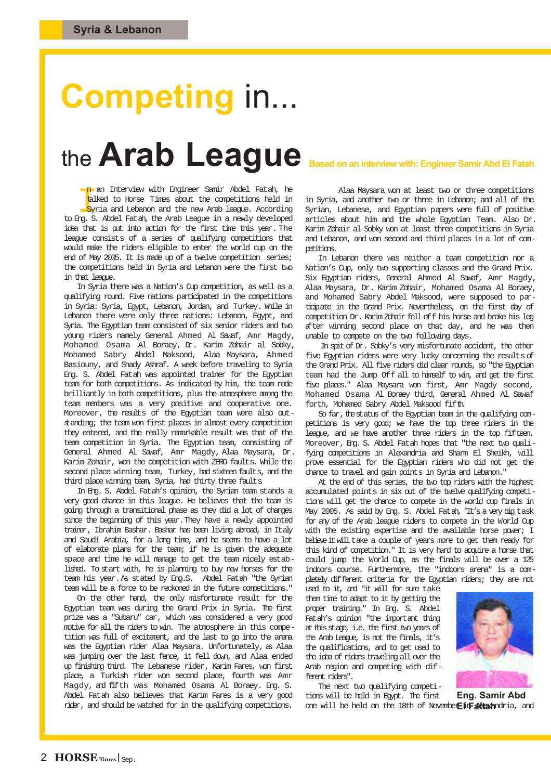## **Competing** in...

### the **Arab League** Based on an interview with: Engineer Samir Abd El Fatah

n an Interview with Engineer Samir Abdel Fatah, he<br>
talked to Horse Times about the competitions held in<br>
Syria and Lebanon and the new Arab league. According<br>
In S. Abdel Fatah the Arab League in a newly developed talked to Horse Times about the competitions held in Syria and Lebanon and the new Arab league. According to Eng. S. Abdel Fatah, the Arab League in a newly developed idea that is put into action for the first time this year. The league consists of a series of qualifying competitions that would make the riders eligible to enter the world cup on the end of May 2005. It is made up of a twelve competition series; the competitions held in Syria and Lebanon were the first two in that league.

In Syria there was a Nation's Cup competition, as well as a qualifying round. Five nations participated in the competitions in Syria: Syria, Egypt, Lebanon, Jordan, and Turkey. While in Lebanon there were only three nations: Lebanon, Egypt, and Syria. The Egyptian team consisted of six senior riders and two young riders namely General Ahmed Al Sawaf, Amr Magdy, Mohamed Osama Al Boraey, Dr. Karim Zohair al Sobky, Mohamed Sabry Abdel Maksood, Alaa Maysara, Ahmed Basiouny, and Shady Ashraf. A week before traveling to Syria Eng. S. Abdel Fatah was appointed trainer for the Egyptian team for both competitions. As indicated by him, the team rode brilliantly in both competitions, plus the atmosphere among the team members was a very positive and cooperative one. Moreover, the results of the Egyptian team were also outstanding; the team won first places in almost every competition they entered, and the really remarkable result was that of the team competition in Syria. The Egyptian team, consisting of General Ahmed Al Sawaf, Amr Magdy, Alaa Maysara, Dr. Karim Zohair, won the competition with ZERO faults. While the second place winning team, Turkey, had sixteen faults, and the third place winning team, Syria, had thirty three faults.

In Eng. S. Abdel Fatah's opinion, the Syrian team stands a very good chance in this league. He believes that the team is going through a transitional phase as they did a lot of changes since the beginning of this year. They have a newly appointed trainer, Ibrahim Bashar. Bashar has been living abroad, in Italy and Saudi Arabia, for a long time, and he seems to have a lot of elaborate plans for the team; if he is given the adequate space and time he will manage to get the team nicely established. To start with, he is planning to buy new horses for the team his year. As stated by Eng.S. Abdel Fatah "the Syrian team will be a force to be reckoned in the future competitions."

On the other hand, the only misfortunate result for the Egyptian team was during the Grand Prix in Syria. The first prize was a "Subaru" car, which was considered a very good motive for all the riders to win. The atmosphere in this competition was full of excitement, and the last to go into the arena was the Egyptian rider Alaa Maysara. Unfortunately, as Alaa was jumping over the last fence, it fell down, and Alaa ended up finishing third. The Lebanese rider, Karim Fares, won first place, a Turkish rider won second place, fourth was Amr Magdy, and fifth was Mohamed Osama Al Boraey. Eng. S. Abdel Fatah also believes that Karim Fares is a very good rider, and should be watched for in the qualifying competitions.

Alaa Maysara won at least two or three competitions in Syria, and another two or three in Lebanon; and all of the Syrian, Lebanese, and Egyptian papers were full of positive articles about him and the whole Egyptian Team. Also Dr. Karim Zohair al Sobky won at least three competitions in Syria and Lebanon, and won second and third places in a lot of competitions.

In Lebanon there was neither a team competition nor a Nation's Cup, only two supporting classes and the Grand Prix. Six Egyptian riders, General Ahmed Al Sawaf, Amr Magdy, Alaa Maysara, Dr. Karim Zohair, Mohamed Osama Al Boraey, and Mohamed Sabry Abdel Maksood, were supposed to participate in the Grand Prix. Nevertheless, on the first day of competition Dr. Karim Zohair fell off his horse and broke his leg after winning second place on that day, and he was then unable to compete on the two following days.

In spit of Dr. Sobky's very misfortunate accident, the other five Egyptian riders were very lucky concerning the results of the Grand Prix. All five riders did clear rounds, so "the Egyptian team had the Jump Off all to himself to win, and get the first five places." Alaa Maysara won first, Amr Magdy second, Mohamed Osama Al Boraey third, General Ahmed Al Sawaf forth, Mohamed Sabry Abdel Maksood fifth.

So far, the status of the Egyptian team in the qualifying competitions is very good; we have the top three riders in the league, and we have another three riders in the top fifteen. Moreover, Eng. S. Abdel Fatah hopes that "the next two qualifying competitions in Alexandria and Sharm El Sheikh, will prove essential for the Egyptian riders who did not get the chance to travel and gain points in Syria and Lebanon."

At the end of this series, the two top riders with the highest accumulated points in six out of the twelve qualifying competitions will get the chance to compete in the world cup finals in May 2005. As said by Eng. S. Abdel Fatah, "It's a very big task for any of the Arab league riders to compete in the World Cup with the existing expertise and the available horse power; I believe it will take a couple of years more to get them ready for this kind of competition." It is very hard to acquire a horse that could jump the World Cup, as the finals will be over a 125 indoors course. Furthermore, the "indoors arena" is a completely different criteria for the Egyptian riders; they are not

used to it, and "it will for sure take them time to adapt to it by getting the proper training." In Eng. S. Abdel Fatah's opinion "the important thing at this stage, i.e. the first two years of the Arab League, is not the finals, it's the qualifications, and to get used to the idea of riders traveling all over the Arab region and competing with different riders".

The next two qualifying competi-



tions will be held in Egypt. The first one will be held on the 18th of Nov<del>e</del>mber**EliFattah**ndria, and **Eng. Samir Abd**